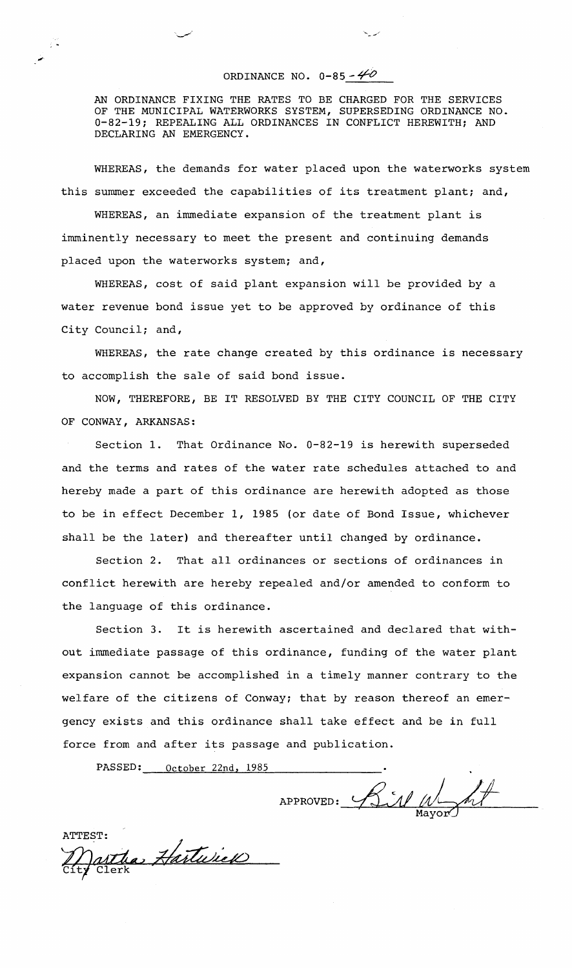## ORDINANCE NO.  $0-85 - 40$

 $\frac{1}{2}$  .

AN ORDINANCE FIXING THE RATES TO BE CHARGED FOR THE SERVICES OF THE MUNICIPAL WATERWORKS SYSTEM, SUPERSEDING ORDINANCE NO. 0-82-19; REPEALING ALL ORDINANCES IN CONFLICT HEREWITH; AND DECLARING AN EMERGENCY.

WHEREAS, the demands for water placed upon the waterworks system this summer exceeded the capabilities of its treatment plant; and,

WHEREAS, an immediate expansion of the treatment plant is imminently necessary to meet the present and continuing demands placed upon the waterworks system; and,

WHEREAS, cost of said plant expansion will be provided by a water revenue bond issue yet to be approved by ordinance of this City Council; and,

WHEREAS, the rate change created by this ordinance is necessary to accomplish the sale of said bond issue.

NOW, THEREFORE, BE IT RESOLVED BY THE CITY COUNCIL OF THE CITY OF CONWAY, ARKANSAS:

Section 1. That Ordinance No. 0-82-19 is herewith superseded and the terms and rates of the water rate schedules attached to and hereby made a part of this ordinance are herewith adopted as those to be in effect December 1, 1985 (or date of Bond Issue, whichever shall be the later) and thereafter until changed by ordinance.

Section 2. That all ordinances or sections of ordinances in conflict. herewith are hereby repealed and/or amended to conform to the language of this ordinance.

Section 3. It is herewith ascertained and declared that without immediate passage of this ordinance, funding of the water plant expansion cannot be accomplished in a timely manner contrary to the welfare of the citizens of Conway; that by reason thereof an emergency exists and this ordinance shall take effect and be in full force from and after its passage and publication.

PASSED: October 22nd, 1985

APPROVED: Bill Whyor

ATTEST:<br>Martha Hartwick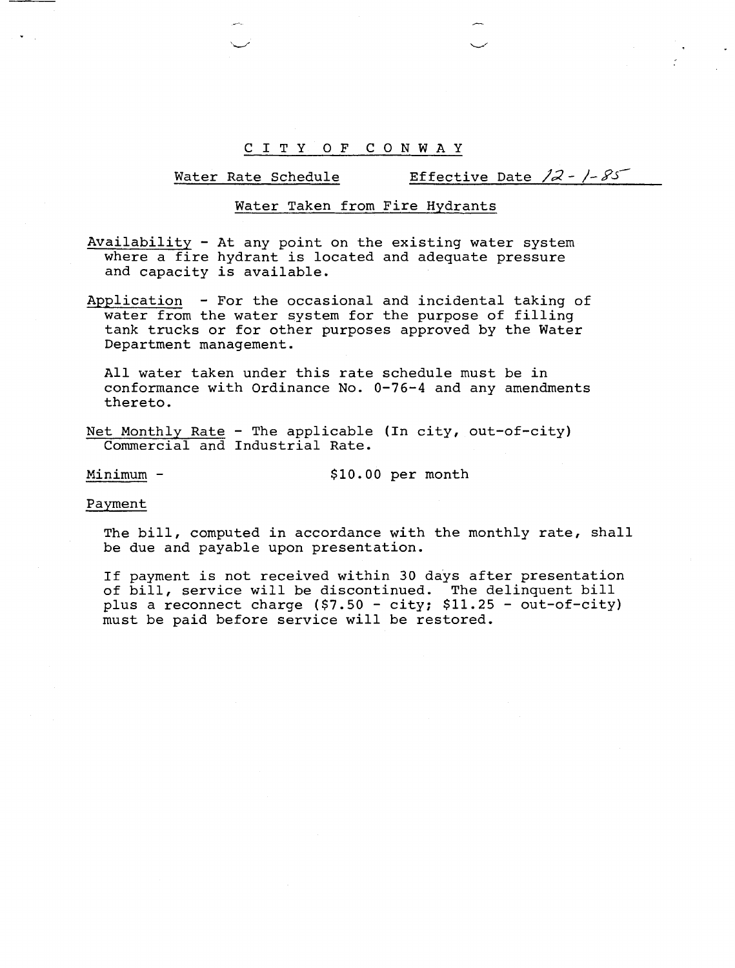# Water Rate Schedule Effective Date  $/2 - / -85$

### Water Taken from Fire Hvdrants

Availability - At any point on the existing water system where a fire hydrant is located and adequate pressure and capacity is available.

Application - For the occasional and incidental taking of water from the water system for the purpose of filling tank trucks or for other purposes approved by the water Department management.

All water taken under this rate schedule must be in conformance with Ordinance No. 0-76-4 and any amendments thereto.

Net Monthly Rate - The applicable (In city, out-of-city) Commercial and Industrial Rate.

Minimum - \$10.00 per month

#### Payment

The bill, computed in accordance with the monthly rate, shall be due and payable upon presentation.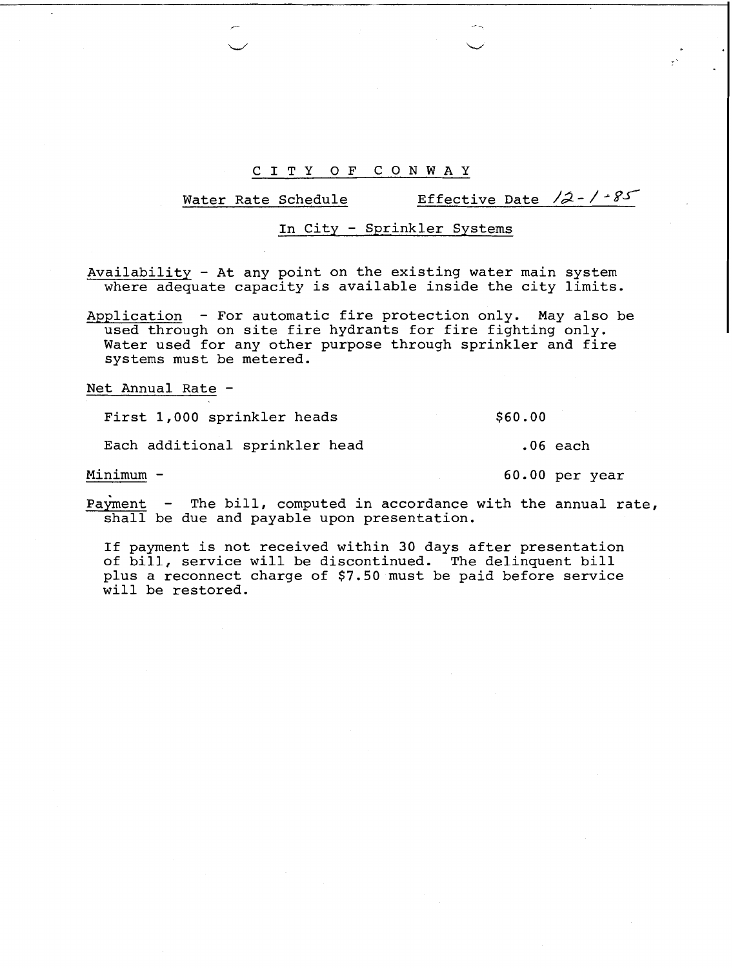Water Rate Schedule Effective Date  $\sqrt{2} - \sqrt{\sqrt{3}}$ 

### In City - Sprinkler Systems

Availability - At any point on the existing water main system where adequate capacity is available inside the city limits.

Application - For automatic fire protection only. May also be used through on site fire hydrants for fire fighting only. Water used for any other purpose through sprinkler and fire systems must be metered.

Net Annual Rate -

First 1,000 sprinkler heads \$60.00

Each additional sprinkler head .06 each

Minimum - 60.00 per year

Payment - The bill, computed in accordance with the annual rate, shall be due and payable upon presentation.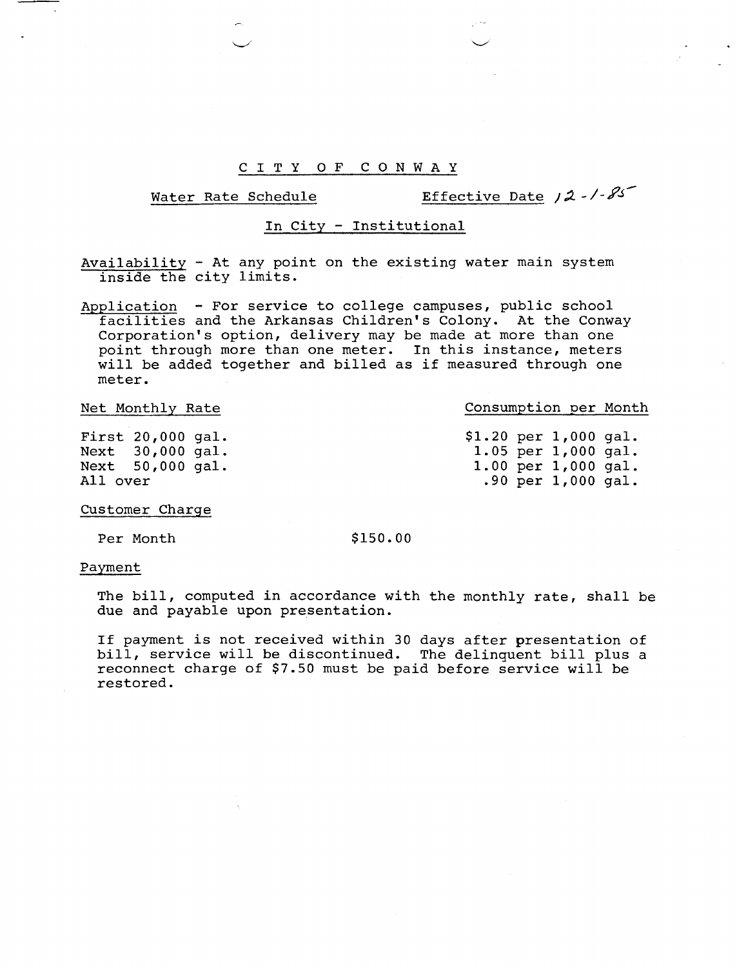# Water Rate Schedule **Effective Date 12 - 1-85**

## In City - Institutional

Availability - At any point on the existing water main system inside the city limits.

Application - For service to college campuses, public school facilities and the Arkansas Children's Colony. At the Conway Corporation's option, delivery may be made at more than one point through more than one meter. In this instance, meters will be added together and billed as if measured through one meter.

First 20,000 gal. Next 30,000 gal. Next 50,000 gal. All over

Net Monthly Rate **Consumption per Month** 

|  | \$1.20 per 1,000 gal. |  |
|--|-----------------------|--|
|  | 1.05 per $1,000$ gal. |  |
|  | 1.00 per 1,000 gal.   |  |
|  | .90 per $1,000$ gal.  |  |

Customer Charge

Per Month \$150.00

#### Payment

The bill, computed in accordance with the monthly rate, shall be due and payable upon presentation.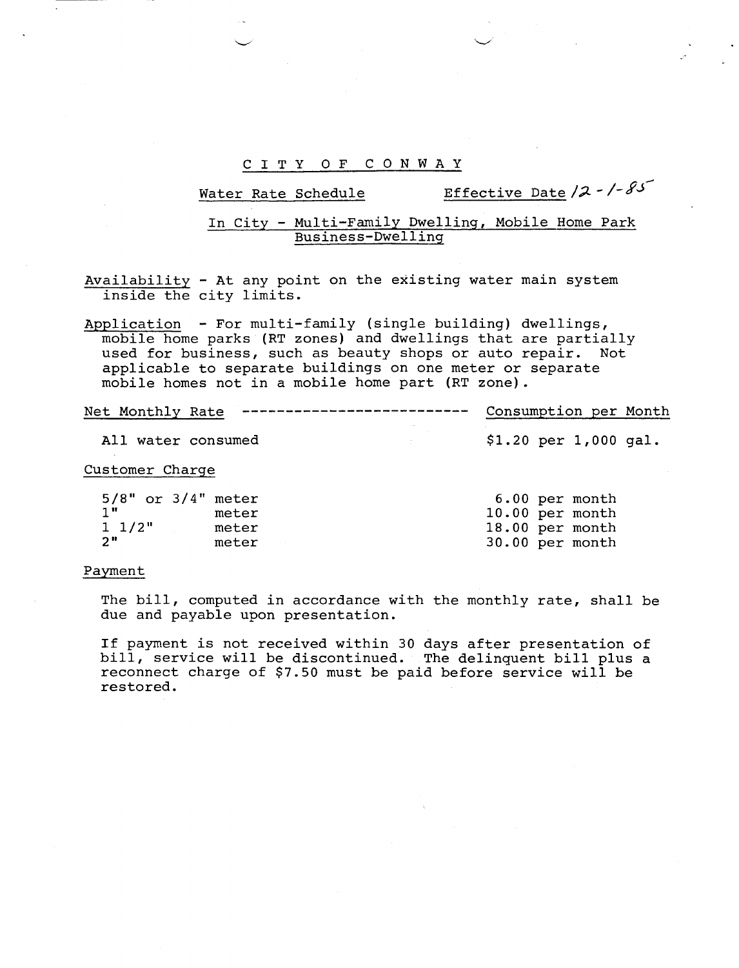Water Rate Schedule Effective Date **/2** - **/-fd4** 

### In City - Multi-Family Dwelling, Mobile Home Park Business-Dwelling

Availability - At any point on the existing water main system inside the city limits.

Application - For multi-family (single building) dwellings, mobile home parks (RT zones) and dwellings that are partially used for business, such as beauty shops or auto repair. Not applicable to separate buildings on one meter or separate mobile homes not in a mobile home part (RT zone).

| Net Monthly Rate | _________________________ | Consumption per Month |  |
|------------------|---------------------------|-----------------------|--|
|                  |                           |                       |  |

All water consumed  $$1.20$  per 1,000 gal.

#### Customer Charge

| 5/8" or 3/4" meter |       | 6.00 per month    |
|--------------------|-------|-------------------|
| 1"                 | meter | $10.00$ per month |
| 1 1/2"             | meter | 18.00 per month   |
| 2"                 | meter | 30.00 per month   |

#### Payment

The bill, computed in accordance with the monthly rate, shall be due and payable upon presentation.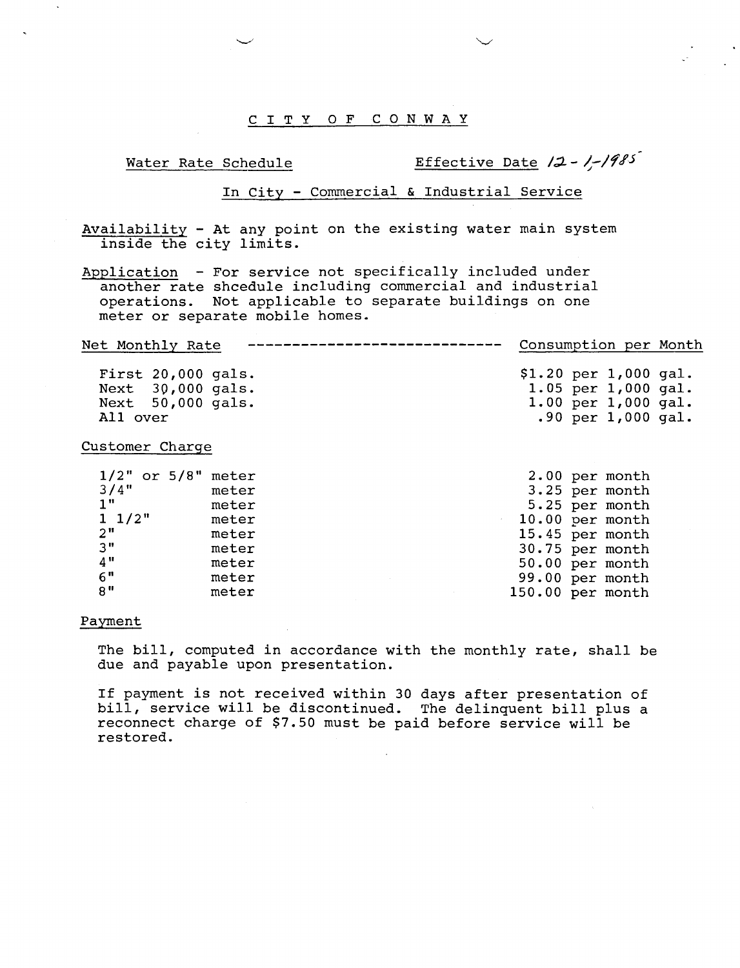# Water Rate Schedule **Effective Date** /2 - 1-1985

1.00 per 1,000 gal. .90 per 1,000 gal.

### In City - Commercial & Industrial Service

Availability - At any point on the existing water main system inside the city limits.

Application - For service not specifically included under another rate shcedule including commercial and industrial operations. Not applicable to separate buildings on one meter or separate mobile homes.

------------------------------Consumption per Month Net Monthly Rate \$1.20 per 1,000 gal. First 20,000 gals. Next 30,000 gals. 1.05 per 1,000 gal.

Customer Charqe

All over

Next 50,000 gals.

|                 | $1/2"$ or $5/8"$ meter | 2.00 per month   |
|-----------------|------------------------|------------------|
| 3/4"            | meter                  | 3.25 per month   |
| 1"              | meter                  | 5.25 per month   |
| $1 \frac{1}{2}$ | meter                  | 10.00 per month  |
| 2 <sup>''</sup> | meter                  | 15.45 per month  |
| 3"              | meter                  | 30.75 per month  |
| 4"              | meter                  | 50.00 per month  |
| 6"              | meter                  | 99.00 per month  |
| $8$ "           | meter                  | 150.00 per month |

#### Payment

The bill, computed in accordance with the monthly rate, shall be due and payable upon presentation.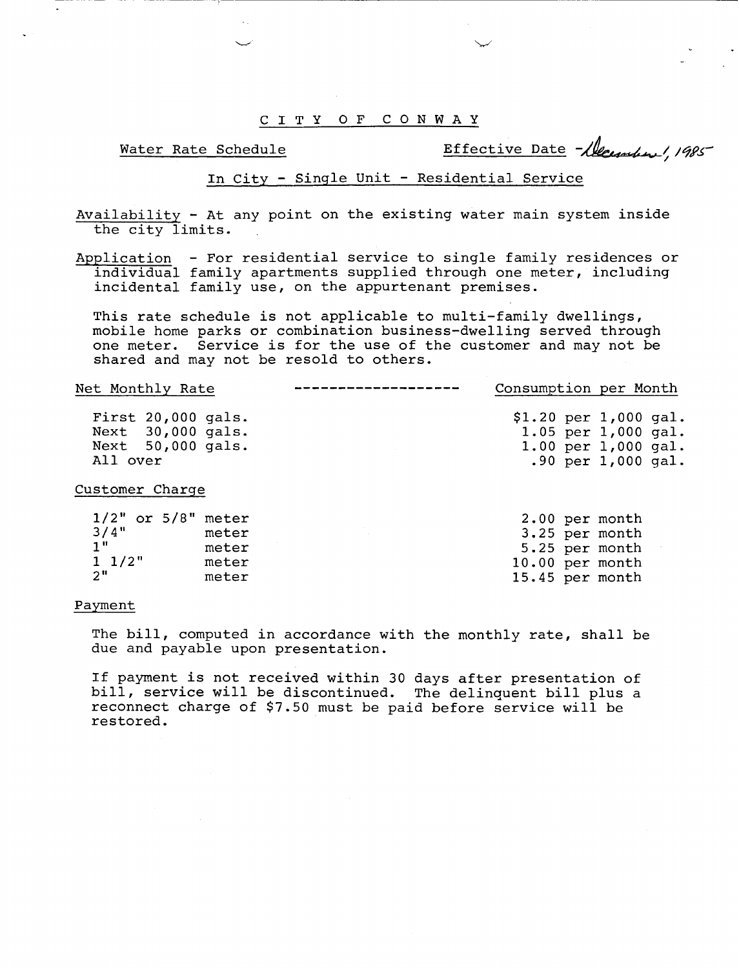Water Rate Schedule **Effective Date** (1985)

# In City - Single Unit - Residential Service

Availability - At any point on the existing water main system inside the city limits.

Application - For residential service to single family residences or individual family apartments supplied through one meter, including incidental family use, on the appurtenant premises.

This rate schedule is not applicable to multi-family dwellings, mobile home parks or combination business-dwelling served through one meter. Service is for the use of the customer and may not be shared and may not be resold to others.

| Net Monthly Rate                                                           | Consumption per Month                                                                              |
|----------------------------------------------------------------------------|----------------------------------------------------------------------------------------------------|
| First $20,000$ gals.<br>Next 30,000 gals.<br>Next 50,000 gals.<br>All over | $$1.20$ per 1,000 gal.<br>1.05 per $1,000$ gal.<br>$1.00$ per $1,000$ gal.<br>.90 per $1,000$ gal. |

Customer Charqe

| $1/2"$ or $5/8"$ meter |       | 2.00 per month    |
|------------------------|-------|-------------------|
| 3/4"                   | meter | 3.25 per month    |
| 1 H                    | meter | 5.25 per month    |
| $1 \frac{1}{2}$        | meter | $10.00$ per month |
| - 2‼                   | meter | 15.45 per month   |

#### Pavment

The bill, computed in accordance with the monthly rate, shall be due and payable upon presentation.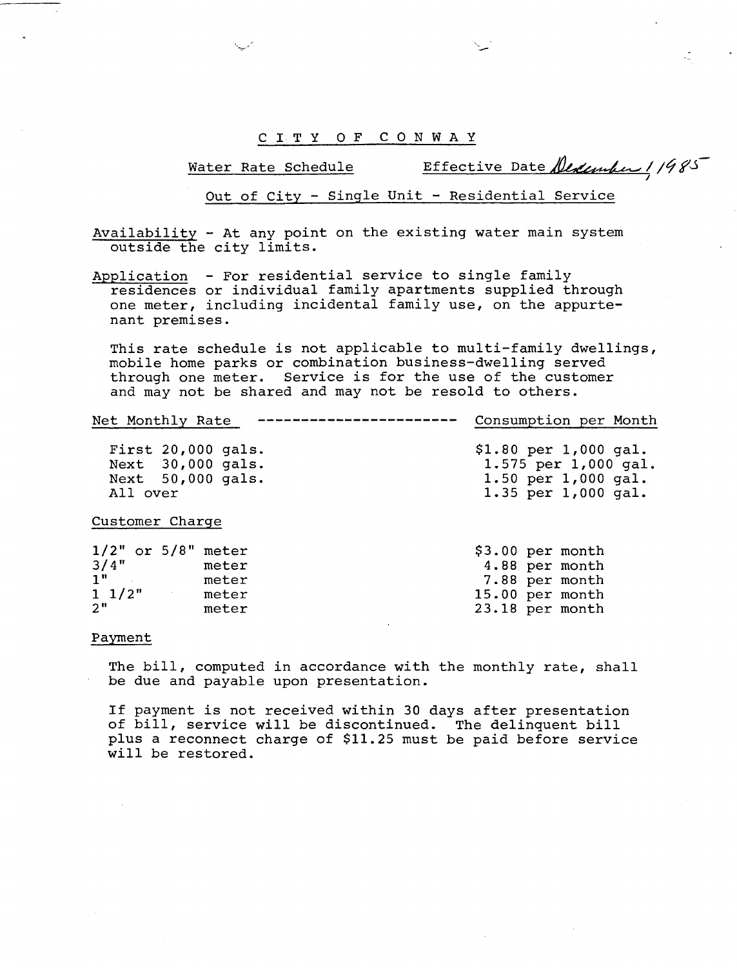Water Rate Schedule

Effective Date Dedember 11985

Out of City - Sinqle Unit - Residential Service

Availability - At any point on the existing water main system outside the city limits.

Application - For residential service to single family residences or individual family apartments supplied through one meter, including incidental family use, on the appurtenant premises.

This rate schedule is not applicable to multi-family dwellings, mobile home parks or combination business-dwelling served through one meter. Service is for the use of the customer and may not be shared and may not be resold to others.

----------------- Consumption per Month Net Monthly Rate

First 20,000 gals. Next 30,000 gals. Next 50,000 gals. All over

\$1.80 per 1,000 gal. 1.575 per 1,000 gal. 1.50 per 1,000 gal. 1.35 per 1,000 gal.

Customer Charqe

| $1/2"$ or $5/8"$ meter |       | $$3.00$ per month |                |
|------------------------|-------|-------------------|----------------|
| 3/4"                   | meter |                   | 4.88 per month |
| 1 <sup>n</sup>         | meter |                   | 7.88 per month |
| $1 \frac{1}{2}$        | meter | 15.00 per month   |                |
| 2 <sup>''</sup>        | meter | 23.18 per month   |                |
|                        |       |                   |                |

#### Payment

The bill, computed in accordance with the monthly rate, shall be due and payable upon presentation.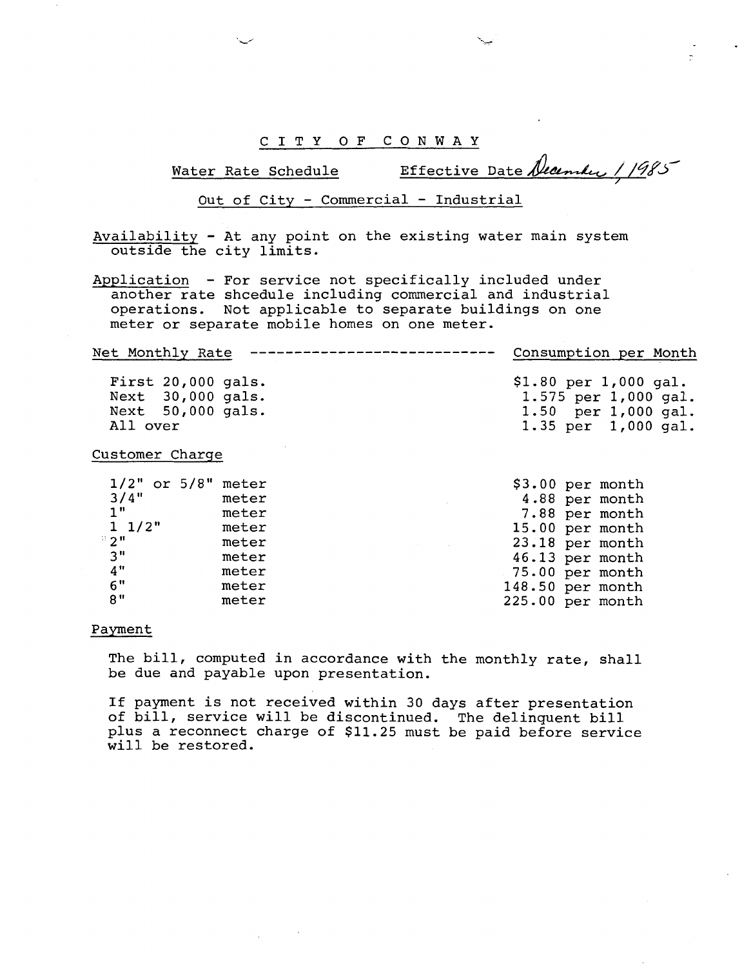C I T Y O F CONWAY

Water Rate Schedule Effective Date December 11985

Out of City - Commercial - Industrial

Availability - At any point on the existing water main system outside the city limits.

Application - For service not specifically included under another rate shcedule including commercial and industrial operations. Not applicable to separate buildings on one meter or separate mobile homes on one meter.

----------------------------Net Monthly Rate Consumption per Month First 20,000 gals. \$1.80 per 1,000 gal. Next 30,000 gals. 1.575 per 1,000 gal.

Next 50,000 gals. All over

#### Customer Charqe

| 1/2"           | or 5/8" | meter |
|----------------|---------|-------|
| 3/4"           |         | meter |
| 1"             |         | meter |
| $1 \t1/2"$     |         | meter |
| 2 <sup>n</sup> |         | meter |
| 3''            |         | meter |
| 4"             |         | meter |
| 6"             |         | meter |
|                |         | meter |

| \$3.00 |     | per month |
|--------|-----|-----------|
| 4.88   |     | per month |
| 7.88   |     | per month |
| 15.00  |     | per month |
| 23.18  | per | month     |
| 46.13  |     | per month |
| 75.00  |     | per month |
| 148.50 |     | per month |
| 225.00 |     | per month |

1.50 per 1,000 gal. 1.35 per 1,000 gal.

#### Payment

The bill, computed in accordance with the monthly rate, shall be due and payable upon presentation.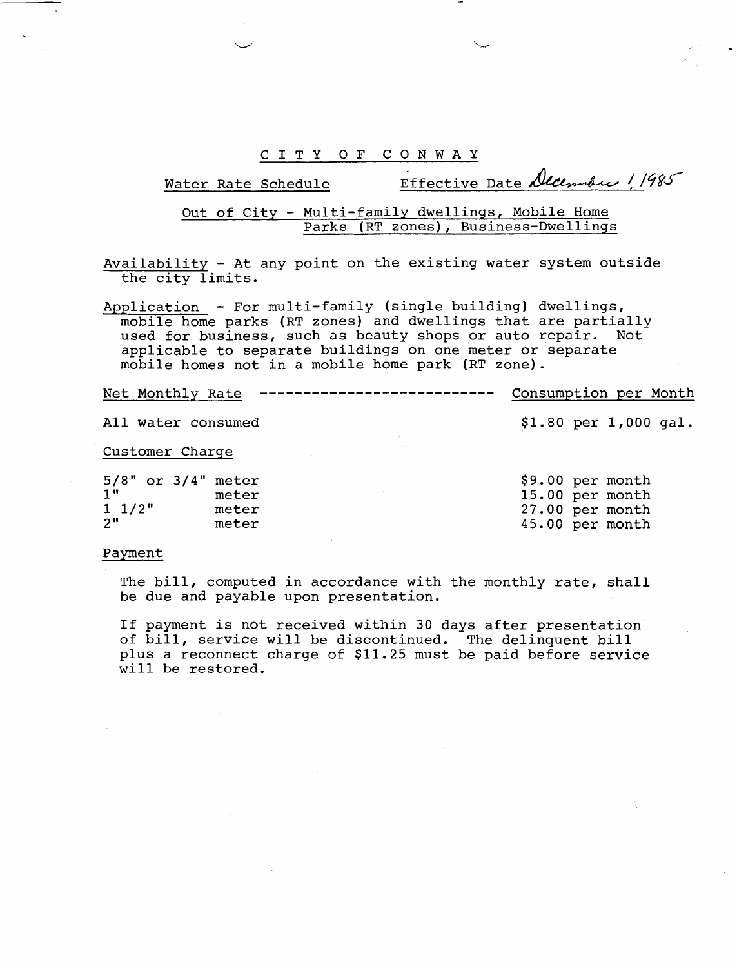# Water Rate Schedule Effective Date December 1/985

Out of City - Multi-family dwellinqs, Mobile Home Parks (RT zones), Business-Dwellinqs

Availability - At any point on the existing water system outside the city limits.

Application - For multi-family (single building) dwellings, mobile home parks (RT zones) and dwellings that are partially used for business, such as beauty shops or auto repair. Not applicable to separate buildings on one meter or separate mobile homes not in a mobile home park (RT zone).

Net Monthly Rate --------------------------- Consumption per Month

### All water consumed **\$1.80** per **1,000** gal.

#### Customer Charge

| 5/8" or 3/4" meter |       | \$9.00 per month |  |
|--------------------|-------|------------------|--|
| 1"                 | meter | 15.00 per month  |  |
| $1 \t1/2"$         | meter | 27.00 per month  |  |
| 2"                 | meter | 45.00 per month  |  |
|                    |       |                  |  |

#### Payment

The bill, computed in accordance with the monthly rate, shall be due and payable upon presentation.